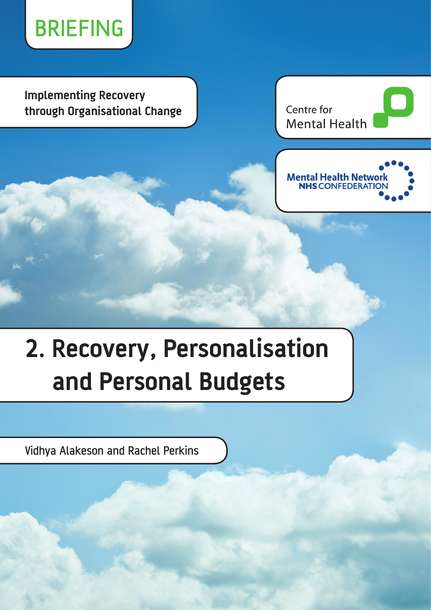

**Implementing Recovery through Organisational Change**

Centre for **Mental Health** 



# **2. Recovery, Personalisation and Personal Budgets**

Vidhya Alakeson and Rachel Perkins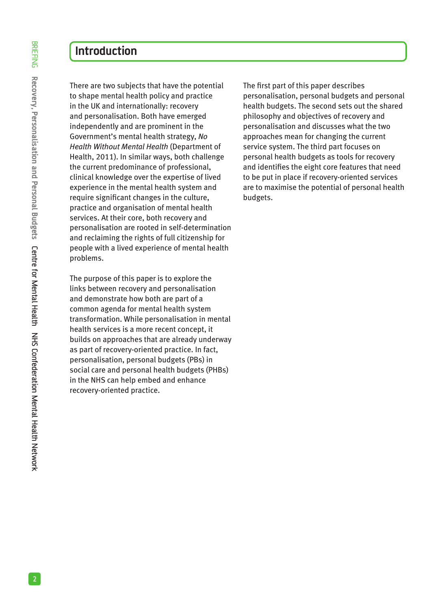There are two subjects that have the potential to shape mental health policy and practice in the UK and internationally: recovery and personalisation. Both have emerged independently and are prominent in the Government's mental health strategy, *No Health Without Mental Health* (Department of Health, 2011). In similar ways, both challenge the current predominance of professional, clinical knowledge over the expertise of lived experience in the mental health system and require significant changes in the culture, practice and organisation of mental health services. At their core, both recovery and personalisation are rooted in self-determination and reclaiming the rights of full citizenship for people with a lived experience of mental health problems.

The purpose of this paper is to explore the links between recovery and personalisation and demonstrate how both are part of a common agenda for mental health system transformation. While personalisation in mental health services is a more recent concept, it builds on approaches that are already underway as part of recovery-oriented practice. In fact, personalisation, personal budgets (PBs) in social care and personal health budgets (PHBs) in the NHS can help embed and enhance recovery-oriented practice.

The first part of this paper describes personalisation, personal budgets and personal health budgets. The second sets out the shared philosophy and objectives of recovery and personalisation and discusses what the two approaches mean for changing the current service system. The third part focuses on personal health budgets as tools for recovery and identifies the eight core features that need to be put in place if recovery-oriented services are to maximise the potential of personal health budgets.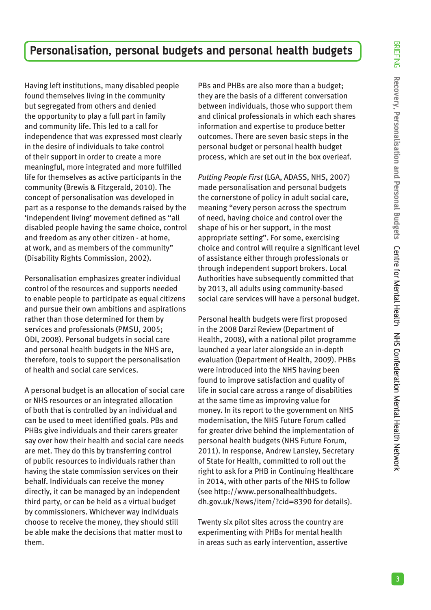# **Personalisation, personal budgets and personal health budgets**

Having left institutions, many disabled people found themselves living in the community but segregated from others and denied the opportunity to play a full part in family and community life. This led to a call for independence that was expressed most clearly in the desire of individuals to take control of their support in order to create a more meaningful, more integrated and more fulfilled life for themselves as active participants in the community (Brewis & Fitzgerald, 2010). The concept of personalisation was developed in part as a response to the demands raised by the 'independent living' movement defined as "all disabled people having the same choice, control and freedom as any other citizen - at home, at work, and as members of the community" (Disability Rights Commission, 2002).

Personalisation emphasizes greater individual control of the resources and supports needed to enable people to participate as equal citizens and pursue their own ambitions and aspirations rather than those determined for them by services and professionals (PMSU, 2005; ODI, 2008). Personal budgets in social care and personal health budgets in the NHS are, therefore, tools to support the personalisation of health and social care services.

A personal budget is an allocation of social care or NHS resources or an integrated allocation of both that is controlled by an individual and can be used to meet identified goals. PBs and PHBs give individuals and their carers greater say over how their health and social care needs are met. They do this by transferring control of public resources to individuals rather than having the state commission services on their behalf. Individuals can receive the money directly, it can be managed by an independent third party, or can be held as a virtual budget by commissioners. Whichever way individuals choose to receive the money, they should still be able make the decisions that matter most to them.

PBs and PHBs are also more than a budget; they are the basis of a different conversation between individuals, those who support them and clinical professionals in which each shares information and expertise to produce better outcomes. There are seven basic steps in the personal budget or personal health budget process, which are set out in the box overleaf.

*Putting People First* (LGA, ADASS, NHS, 2007) made personalisation and personal budgets the cornerstone of policy in adult social care, meaning "every person across the spectrum of need, having choice and control over the shape of his or her support, in the most appropriate setting". For some, exercising choice and control will require a significant level of assistance either through professionals or through independent support brokers. Local Authorities have subsequently committed that by 2013, all adults using community-based social care services will have a personal budget.

Personal health budgets were first proposed in the 2008 Darzi Review (Department of Health, 2008), with a national pilot programme launched a year later alongside an in-depth evaluation (Department of Health, 2009). PHBs were introduced into the NHS having been found to improve satisfaction and quality of life in social care across a range of disabilities at the same time as improving value for money. In its report to the government on NHS modernisation, the NHS Future Forum called for greater drive behind the implementation of personal health budgets (NHS Future Forum, 2011). In response, Andrew Lansley, Secretary of State for Health, committed to roll out the right to ask for a PHB in Continuing Healthcare in 2014, with other parts of the NHS to follow (see http://www.personalhealthbudgets. dh.gov.uk/News/item/?cid=8390 for details).

Twenty six pilot sites across the country are experimenting with PHBs for mental health in areas such as early intervention, assertive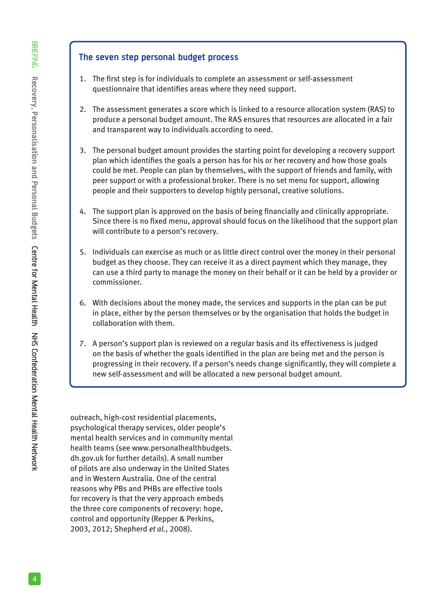#### **The seven step personal budget process**

- 1. The first step is for individuals to complete an assessment or self-assessment questionnaire that identifies areas where they need support.
- 2. The assessment generates a score which is linked to a resource allocation system (RAS) to produce a personal budget amount. The RAS ensures that resources are allocated in a fair and transparent way to individuals according to need.
- 3. The personal budget amount provides the starting point for developing a recovery support plan which identifies the goals a person has for his or her recovery and how those goals could be met. People can plan by themselves, with the support of friends and family, with peer support or with a professional broker. There is no set menu for support, allowing people and their supporters to develop highly personal, creative solutions.
- 4. The support plan is approved on the basis of being financially and clinically appropriate. Since there is no fixed menu, approval should focus on the likelihood that the support plan will contribute to a person's recovery.
- 5. Individuals can exercise as much or as little direct control over the money in their personal budget as they choose. They can receive it as a direct payment which they manage, they can use a third party to manage the money on their behalf or it can be held by a provider or commissioner.
- 6. With decisions about the money made, the services and supports in the plan can be put in place, either by the person themselves or by the organisation that holds the budget in collaboration with them.
- 7. A person's support plan is reviewed on a regular basis and its effectiveness is judged on the basis of whether the goals identified in the plan are being met and the person is progressing in their recovery. If a person's needs change significantly, they will complete a new self-assessment and will be allocated a new personal budget amount.

outreach, high-cost residential placements, psychological therapy services, older people's mental health services and in community mental health teams (see www.personalhealthbudgets. dh.gov.uk for further details). A small number of pilots are also underway in the United States and in Western Australia. One of the central reasons why PBs and PHBs are effective tools for recovery is that the very approach embeds the three core components of recovery: hope, control and opportunity (Repper & Perkins, 2003, 2012; Shepherd *et al.*, 2008).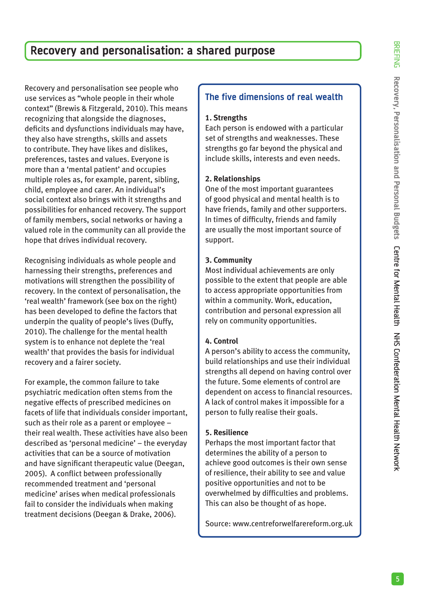# **Recovery and personalisation: a shared purpose**

Recovery and personalisation see people who use services as "whole people in their whole context" (Brewis & Fitzgerald, 2010). This means recognizing that alongside the diagnoses, deficits and dysfunctions individuals may have, they also have strengths, skills and assets to contribute. They have likes and dislikes, preferences, tastes and values. Everyone is more than a 'mental patient' and occupies multiple roles as, for example, parent, sibling, child, employee and carer. An individual's social context also brings with it strengths and possibilities for enhanced recovery. The support of family members, social networks or having a valued role in the community can all provide the hope that drives individual recovery.

Recognising individuals as whole people and harnessing their strengths, preferences and motivations will strengthen the possibility of recovery. In the context of personalisation, the 'real wealth' framework (see box on the right) has been developed to define the factors that underpin the quality of people's lives (Duffy, 2010). The challenge for the mental health system is to enhance not deplete the 'real wealth' that provides the basis for individual recovery and a fairer society.

For example, the common failure to take psychiatric medication often stems from the negative effects of prescribed medicines on facets of life that individuals consider important, such as their role as a parent or employee – their real wealth. These activities have also been described as 'personal medicine' – the everyday activities that can be a source of motivation and have significant therapeutic value (Deegan, 2005). A conflict between professionally recommended treatment and 'personal medicine' arises when medical professionals fail to consider the individuals when making treatment decisions (Deegan & Drake, 2006).

#### **The five dimensions of real wealth**

#### **1. Strengths**

Each person is endowed with a particular set of strengths and weaknesses. These strengths go far beyond the physical and include skills, interests and even needs.

#### **2. Relationships**

One of the most important guarantees of good physical and mental health is to have friends, family and other supporters. In times of difficulty, friends and family are usually the most important source of support.

#### **3. Community**

Most individual achievements are only possible to the extent that people are able to access appropriate opportunities from within a community. Work, education, contribution and personal expression all rely on community opportunities.

#### **4. Control**

A person's ability to access the community, build relationships and use their individual strengths all depend on having control over the future. Some elements of control are dependent on access to financial resources. A lack of control makes it impossible for a person to fully realise their goals.

#### **5. Resilience**

Perhaps the most important factor that determines the ability of a person to achieve good outcomes is their own sense of resilience, their ability to see and value positive opportunities and not to be overwhelmed by difficulties and problems. This can also be thought of as hope.

Source: www.centreforwelfarereform.org.uk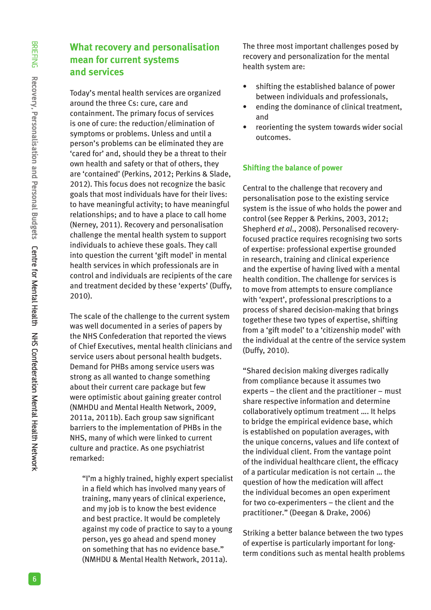## **What recovery and personalisation mean for current systems and services**

Today's mental health services are organized around the three Cs: cure, care and containment. The primary focus of services is one of cure: the reduction/elimination of symptoms or problems. Unless and until a person's problems can be eliminated they are 'cared for' and, should they be a threat to their own health and safety or that of others, they are 'contained' (Perkins, 2012; Perkins & Slade, 2012). This focus does not recognize the basic goals that most individuals have for their lives: to have meaningful activity; to have meaningful relationships; and to have a place to call home (Nerney, 2011). Recovery and personalisation challenge the mental health system to support individuals to achieve these goals. They call into question the current 'gift model' in mental health services in which professionals are in control and individuals are recipients of the care and treatment decided by these 'experts' (Duffy, 2010).

The scale of the challenge to the current system was well documented in a series of papers by the NHS Confederation that reported the views of Chief Executives, mental health clinicians and service users about personal health budgets. Demand for PHBs among service users was strong as all wanted to change something about their current care package but few were optimistic about gaining greater control (NMHDU and Mental Health Network, 2009, 2011a, 2011b). Each group saw significant barriers to the implementation of PHBs in the NHS, many of which were linked to current culture and practice. As one psychiatrist remarked:

"I'm a highly trained, highly expert specialist in a field which has involved many years of training, many years of clinical experience, and my job is to know the best evidence and best practice. It would be completely against my code of practice to say to a young person, yes go ahead and spend money on something that has no evidence base." (NMHDU & Mental Health Network, 2011a).

The three most important challenges posed by recovery and personalization for the mental health system are:

- shifting the established balance of power between individuals and professionals,
- ending the dominance of clinical treatment, and
- reorienting the system towards wider social outcomes.

#### **Shifting the balance of power**

Central to the challenge that recovery and personalisation pose to the existing service system is the issue of who holds the power and control (see Repper & Perkins, 2003, 2012; Shepherd *et al*., 2008). Personalised recoveryfocused practice requires recognising two sorts of expertise: professional expertise grounded in research, training and clinical experience and the expertise of having lived with a mental health condition. The challenge for services is to move from attempts to ensure compliance with 'expert', professional prescriptions to a process of shared decision-making that brings together these two types of expertise, shifting from a 'gift model' to a 'citizenship model' with the individual at the centre of the service system (Duffy, 2010).

"Shared decision making diverges radically from compliance because it assumes two experts – the client and the practitioner – must share respective information and determine collaboratively optimum treatment …. It helps to bridge the empirical evidence base, which is established on population averages, with the unique concerns, values and life context of the individual client. From the vantage point of the individual healthcare client, the efficacy of a particular medication is not certain … the question of how the medication will affect the individual becomes an open experiment for two co-experimenters – the client and the practitioner." (Deegan & Drake, 2006)

Striking a better balance between the two types of expertise is particularly important for longterm conditions such as mental health problems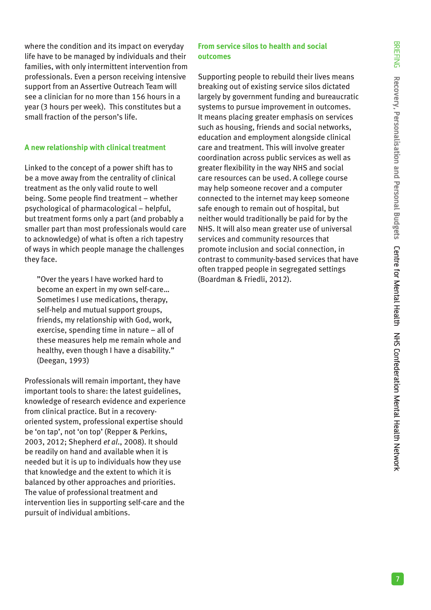where the condition and its impact on everyday life have to be managed by individuals and their families, with only intermittent intervention from professionals. Even a person receiving intensive support from an Assertive Outreach Team will see a clinician for no more than 156 hours in a year (3 hours per week). This constitutes but a small fraction of the person's life.

#### **A new relationship with clinical treatment**

Linked to the concept of a power shift has to be a move away from the centrality of clinical treatment as the only valid route to well being. Some people find treatment – whether psychological of pharmacological – helpful, but treatment forms only a part (and probably a smaller part than most professionals would care to acknowledge) of what is often a rich tapestry of ways in which people manage the challenges they face.

"Over the years I have worked hard to become an expert in my own self-care… Sometimes I use medications, therapy, self-help and mutual support groups, friends, my relationship with God, work, exercise, spending time in nature – all of these measures help me remain whole and healthy, even though I have a disability." (Deegan, 1993)

Professionals will remain important, they have important tools to share: the latest guidelines, knowledge of research evidence and experience from clinical practice. But in a recoveryoriented system, professional expertise should be 'on tap', not 'on top' (Repper & Perkins, 2003, 2012; Shepherd *et al*., 2008). It should be readily on hand and available when it is needed but it is up to individuals how they use that knowledge and the extent to which it is balanced by other approaches and priorities. The value of professional treatment and intervention lies in supporting self-care and the pursuit of individual ambitions.

#### **From service silos to health and social outcomes**

Supporting people to rebuild their lives means breaking out of existing service silos dictated largely by government funding and bureaucratic systems to pursue improvement in outcomes. It means placing greater emphasis on services such as housing, friends and social networks, education and employment alongside clinical care and treatment. This will involve greater coordination across public services as well as greater flexibility in the way NHS and social care resources can be used. A college course may help someone recover and a computer connected to the internet may keep someone safe enough to remain out of hospital, but neither would traditionally be paid for by the NHS. It will also mean greater use of universal services and community resources that promote inclusion and social connection, in contrast to community-based services that have often trapped people in segregated settings (Boardman & Friedli, 2012).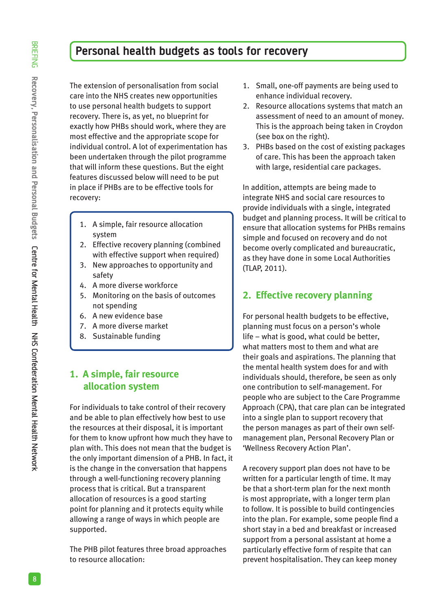## **Personal health budgets as tools for recovery**

The extension of personalisation from social care into the NHS creates new opportunities to use personal health budgets to support recovery. There is, as yet, no blueprint for exactly how PHBs should work, where they are most effective and the appropriate scope for individual control. A lot of experimentation has been undertaken through the pilot programme that will inform these questions. But the eight features discussed below will need to be put in place if PHBs are to be effective tools for recovery:

- 1. A simple, fair resource allocation system
- 2. Effective recovery planning (combined with effective support when required)
- 3. New approaches to opportunity and safety
- 4. A more diverse workforce
- 5. Monitoring on the basis of outcomes not spending
- 6. A new evidence base
- 7. A more diverse market
- 8. Sustainable funding

## **1. A simple, fair resource allocation system**

For individuals to take control of their recovery and be able to plan effectively how best to use the resources at their disposal, it is important for them to know upfront how much they have to plan with. This does not mean that the budget is the only important dimension of a PHB. In fact, it is the change in the conversation that happens through a well-functioning recovery planning process that is critical. But a transparent allocation of resources is a good starting point for planning and it protects equity while allowing a range of ways in which people are supported.

The PHB pilot features three broad approaches to resource allocation:

- 1. Small, one-off payments are being used to enhance individual recovery.
- 2. Resource allocations systems that match an assessment of need to an amount of money. This is the approach being taken in Croydon (see box on the right).
- 3. PHBs based on the cost of existing packages of care. This has been the approach taken with large, residential care packages.

In addition, attempts are being made to integrate NHS and social care resources to provide individuals with a single, integrated budget and planning process. It will be critical to ensure that allocation systems for PHBs remains simple and focused on recovery and do not become overly complicated and bureaucratic, as they have done in some Local Authorities (TLAP, 2011).

#### **2. Effective recovery planning**

For personal health budgets to be effective, planning must focus on a person's whole life – what is good, what could be better, what matters most to them and what are their goals and aspirations. The planning that the mental health system does for and with individuals should, therefore, be seen as only one contribution to self-management. For people who are subject to the Care Programme Approach (CPA), that care plan can be integrated into a single plan to support recovery that the person manages as part of their own selfmanagement plan, Personal Recovery Plan or 'Wellness Recovery Action Plan'.

A recovery support plan does not have to be written for a particular length of time. It may be that a short-term plan for the next month is most appropriate, with a longer term plan to follow. It is possible to build contingencies into the plan. For example, some people find a short stay in a bed and breakfast or increased support from a personal assistant at home a particularly effective form of respite that can prevent hospitalisation. They can keep money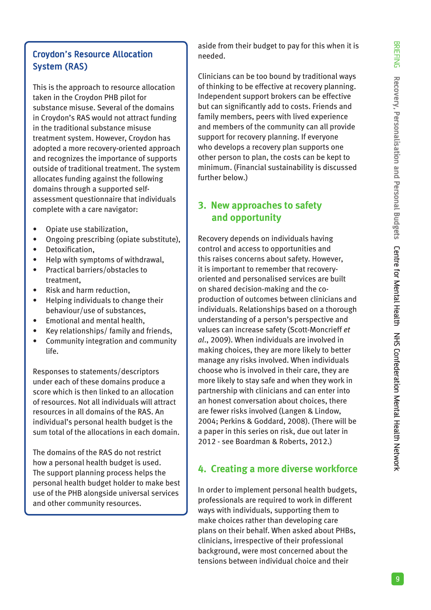## **Croydon's Resource Allocation System (RAS)**

This is the approach to resource allocation taken in the Croydon PHB pilot for substance misuse. Several of the domains in Croydon's RAS would not attract funding in the traditional substance misuse treatment system. However, Croydon has adopted a more recovery-oriented approach and recognizes the importance of supports outside of traditional treatment. The system allocates funding against the following domains through a supported selfassessment questionnaire that individuals complete with a care navigator:

- Opiate use stabilization,
- Ongoing prescribing (opiate substitute),
- Detoxification,
- Help with symptoms of withdrawal,
- Practical barriers/obstacles to treatment,
- Risk and harm reduction,
- Helping individuals to change their behaviour/use of substances,
- Emotional and mental health,
- Key relationships/ family and friends,
- Community integration and community life.

Responses to statements/descriptors under each of these domains produce a score which is then linked to an allocation of resources. Not all individuals will attract resources in all domains of the RAS. An individual's personal health budget is the sum total of the allocations in each domain.

The domains of the RAS do not restrict how a personal health budget is used. The support planning process helps the personal health budget holder to make best use of the PHB alongside universal services and other community resources.

aside from their budget to pay for this when it is needed.

Clinicians can be too bound by traditional ways of thinking to be effective at recovery planning. Independent support brokers can be effective but can significantly add to costs. Friends and family members, peers with lived experience and members of the community can all provide support for recovery planning. If everyone who develops a recovery plan supports one other person to plan, the costs can be kept to minimum. (Financial sustainability is discussed further below.)

## **3. New approaches to safety and opportunity**

Recovery depends on individuals having control and access to opportunities and this raises concerns about safety. However, it is important to remember that recoveryoriented and personalised services are built on shared decision-making and the coproduction of outcomes between clinicians and individuals. Relationships based on a thorough understanding of a person's perspective and values can increase safety (Scott-Moncrieff *et al*., 2009). When individuals are involved in making choices, they are more likely to better manage any risks involved. When individuals choose who is involved in their care, they are more likely to stay safe and when they work in partnership with clinicians and can enter into an honest conversation about choices, there are fewer risks involved (Langen & Lindow, 2004; Perkins & Goddard, 2008). (There will be a paper in this series on risk, due out later in 2012 - see Boardman & Roberts, 2012.)

## **4. Creating a more diverse workforce**

In order to implement personal health budgets, professionals are required to work in different ways with individuals, supporting them to make choices rather than developing care plans on their behalf. When asked about PHBs, clinicians, irrespective of their professional background, were most concerned about the tensions between individual choice and their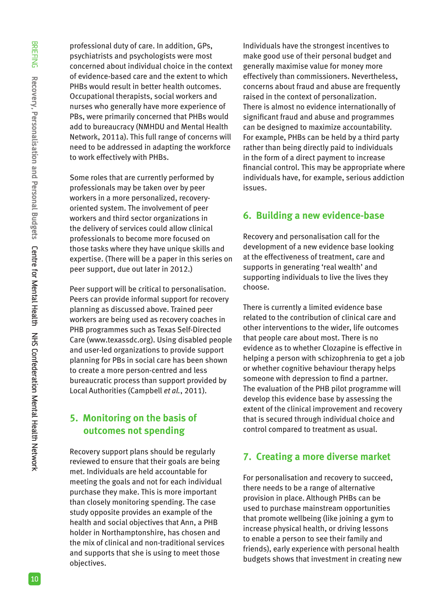professional duty of care. In addition, GPs, psychiatrists and psychologists were most concerned about individual choice in the context of evidence-based care and the extent to which PHBs would result in better health outcomes. Occupational therapists, social workers and nurses who generally have more experience of PBs, were primarily concerned that PHBs would add to bureaucracy (NMHDU and Mental Health Network, 2011a). This full range of concerns will need to be addressed in adapting the workforce to work effectively with PHBs.

Some roles that are currently performed by professionals may be taken over by peer workers in a more personalized, recoveryoriented system. The involvement of peer workers and third sector organizations in the delivery of services could allow clinical professionals to become more focused on those tasks where they have unique skills and expertise. (There will be a paper in this series on peer support, due out later in 2012.)

Peer support will be critical to personalisation. Peers can provide informal support for recovery planning as discussed above. Trained peer workers are being used as recovery coaches in PHB programmes such as Texas Self-Directed Care (www.texassdc.org). Using disabled people and user-led organizations to provide support planning for PBs in social care has been shown to create a more person-centred and less bureaucratic process than support provided by Local Authorities (Campbell *et al.*, 2011).

#### **5. Monitoring on the basis of outcomes not spending**

Recovery support plans should be regularly reviewed to ensure that their goals are being met. Individuals are held accountable for meeting the goals and not for each individual purchase they make. This is more important than closely monitoring spending. The case study opposite provides an example of the health and social objectives that Ann, a PHB holder in Northamptonshire, has chosen and the mix of clinical and non-traditional services and supports that she is using to meet those objectives.

Individuals have the strongest incentives to make good use of their personal budget and generally maximise value for money more effectively than commissioners. Nevertheless, concerns about fraud and abuse are frequently raised in the context of personalization. There is almost no evidence internationally of significant fraud and abuse and programmes can be designed to maximize accountability. For example, PHBs can be held by a third party rather than being directly paid to individuals in the form of a direct payment to increase financial control. This may be appropriate where individuals have, for example, serious addiction issues.

## **6. Building a new evidence-base**

Recovery and personalisation call for the development of a new evidence base looking at the effectiveness of treatment, care and supports in generating 'real wealth' and supporting individuals to live the lives they choose.

There is currently a limited evidence base related to the contribution of clinical care and other interventions to the wider, life outcomes that people care about most. There is no evidence as to whether Clozapine is effective in helping a person with schizophrenia to get a job or whether cognitive behaviour therapy helps someone with depression to find a partner. The evaluation of the PHB pilot programme will develop this evidence base by assessing the extent of the clinical improvement and recovery that is secured through individual choice and control compared to treatment as usual.

## **7. Creating a more diverse market**

For personalisation and recovery to succeed, there needs to be a range of alternative provision in place. Although PHBs can be used to purchase mainstream opportunities that promote wellbeing (like joining a gym to increase physical health, or driving lessons to enable a person to see their family and friends), early experience with personal health budgets shows that investment in creating new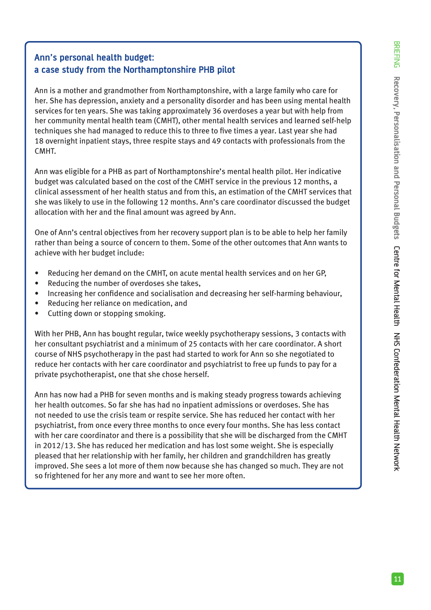### **Ann's personal health budget: a case study from the Northamptonshire PHB pilot**

Ann is a mother and grandmother from Northamptonshire, with a large family who care for her. She has depression, anxiety and a personality disorder and has been using mental health services for ten years. She was taking approximately 36 overdoses a year but with help from her community mental health team (CMHT), other mental health services and learned self-help techniques she had managed to reduce this to three to five times a year. Last year she had 18 overnight inpatient stays, three respite stays and 49 contacts with professionals from the CMHT.

Ann was eligible for a PHB as part of Northamptonshire's mental health pilot. Her indicative budget was calculated based on the cost of the CMHT service in the previous 12 months, a clinical assessment of her health status and from this, an estimation of the CMHT services that she was likely to use in the following 12 months. Ann's care coordinator discussed the budget allocation with her and the final amount was agreed by Ann.

One of Ann's central objectives from her recovery support plan is to be able to help her family rather than being a source of concern to them. Some of the other outcomes that Ann wants to achieve with her budget include:

- Reducing her demand on the CMHT, on acute mental health services and on her GP,
- Reducing the number of overdoses she takes,
- Increasing her confidence and socialisation and decreasing her self-harming behaviour,
- Reducing her reliance on medication, and
- Cutting down or stopping smoking.

With her PHB, Ann has bought regular, twice weekly psychotherapy sessions, 3 contacts with her consultant psychiatrist and a minimum of 25 contacts with her care coordinator. A short course of NHS psychotherapy in the past had started to work for Ann so she negotiated to reduce her contacts with her care coordinator and psychiatrist to free up funds to pay for a private psychotherapist, one that she chose herself.

Ann has now had a PHB for seven months and is making steady progress towards achieving her health outcomes. So far she has had no inpatient admissions or overdoses. She has not needed to use the crisis team or respite service. She has reduced her contact with her psychiatrist, from once every three months to once every four months. She has less contact with her care coordinator and there is a possibility that she will be discharged from the CMHT in 2012/13. She has reduced her medication and has lost some weight. She is especially pleased that her relationship with her family, her children and grandchildren has greatly improved. She sees a lot more of them now because she has changed so much. They are not so frightened for her any more and want to see her more often.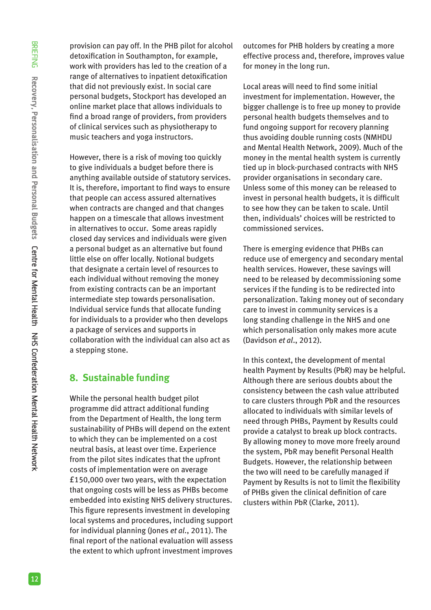provision can pay off. In the PHB pilot for alcohol detoxification in Southampton, for example, work with providers has led to the creation of a range of alternatives to inpatient detoxification that did not previously exist. In social care personal budgets, Stockport has developed an online market place that allows individuals to find a broad range of providers, from providers of clinical services such as physiotherapy to music teachers and yoga instructors.

However, there is a risk of moving too quickly to give individuals a budget before there is anything available outside of statutory services. It is, therefore, important to find ways to ensure that people can access assured alternatives when contracts are changed and that changes happen on a timescale that allows investment in alternatives to occur. Some areas rapidly closed day services and individuals were given a personal budget as an alternative but found little else on offer locally. Notional budgets that designate a certain level of resources to each individual without removing the money from existing contracts can be an important intermediate step towards personalisation. Individual service funds that allocate funding for individuals to a provider who then develops a package of services and supports in collaboration with the individual can also act as a stepping stone.

## **8. Sustainable funding**

While the personal health budget pilot programme did attract additional funding from the Department of Health, the long term sustainability of PHBs will depend on the extent to which they can be implemented on a cost neutral basis, at least over time. Experience from the pilot sites indicates that the upfront costs of implementation were on average £150,000 over two years, with the expectation that ongoing costs will be less as PHBs become embedded into existing NHS delivery structures. This figure represents investment in developing local systems and procedures, including support for individual planning (Jones *et al*., 2011). The final report of the national evaluation will assess the extent to which upfront investment improves

outcomes for PHB holders by creating a more effective process and, therefore, improves value for money in the long run.

Local areas will need to find some initial investment for implementation. However, the bigger challenge is to free up money to provide personal health budgets themselves and to fund ongoing support for recovery planning thus avoiding double running costs (NMHDU and Mental Health Network, 2009). Much of the money in the mental health system is currently tied up in block-purchased contracts with NHS provider organisations in secondary care. Unless some of this money can be released to invest in personal health budgets, it is difficult to see how they can be taken to scale. Until then, individuals' choices will be restricted to commissioned services.

There is emerging evidence that PHBs can reduce use of emergency and secondary mental health services. However, these savings will need to be released by decommissioning some services if the funding is to be redirected into personalization. Taking money out of secondary care to invest in community services is a long standing challenge in the NHS and one which personalisation only makes more acute (Davidson *et al*., 2012).

In this context, the development of mental health Payment by Results (PbR) may be helpful. Although there are serious doubts about the consistency between the cash value attributed to care clusters through PbR and the resources allocated to individuals with similar levels of need through PHBs, Payment by Results could provide a catalyst to break up block contracts. By allowing money to move more freely around the system, PbR may benefit Personal Health Budgets. However, the relationship between the two will need to be carefully managed if Payment by Results is not to limit the flexibility of PHBs given the clinical definition of care clusters within PbR (Clarke, 2011).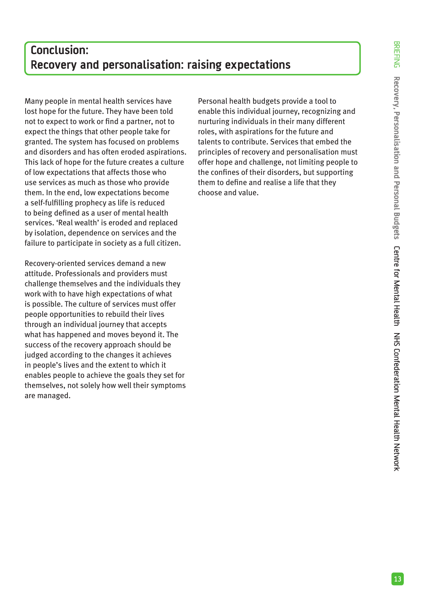# **Conclusion: Recovery and personalisation: raising expectations**

Many people in mental health services have lost hope for the future. They have been told not to expect to work or find a partner, not to expect the things that other people take for granted. The system has focused on problems and disorders and has often eroded aspirations. This lack of hope for the future creates a culture of low expectations that affects those who use services as much as those who provide them. In the end, low expectations become a self-fulfilling prophecy as life is reduced to being defined as a user of mental health services. 'Real wealth' is eroded and replaced by isolation, dependence on services and the failure to participate in society as a full citizen.

Recovery-oriented services demand a new attitude. Professionals and providers must challenge themselves and the individuals they work with to have high expectations of what is possible. The culture of services must offer people opportunities to rebuild their lives through an individual journey that accepts what has happened and moves beyond it. The success of the recovery approach should be judged according to the changes it achieves in people's lives and the extent to which it enables people to achieve the goals they set for themselves, not solely how well their symptoms are managed.

Personal health budgets provide a tool to enable this individual journey, recognizing and nurturing individuals in their many different roles, with aspirations for the future and talents to contribute. Services that embed the principles of recovery and personalisation must offer hope and challenge, not limiting people to the confines of their disorders, but supporting them to define and realise a life that they choose and value.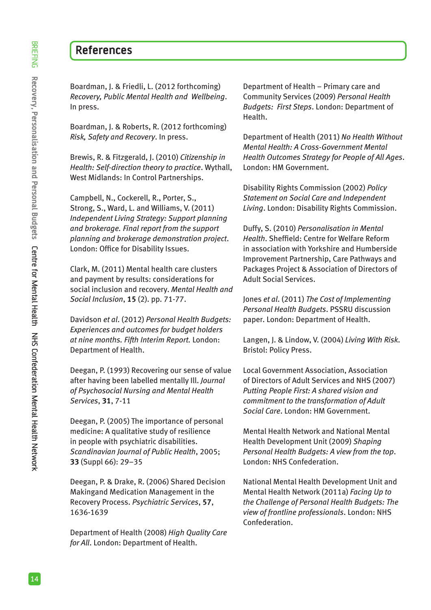# **References**

Boardman, J. & Friedli, L. (2012 forthcoming) *Recovery, Public Mental Health and Wellbeing*. In press.

Boardman, J. & Roberts, R. (2012 forthcoming) *Risk, Safety and Recovery*. In press.

Brewis, R. & Fitzgerald, J. (2010) *Citizenship in Health: Self-direction theory to practice*. Wythall, West Midlands: In Control Partnerships.

Campbell, N., Cockerell, R., Porter, S., Strong, S., Ward, L. and Williams, V. (2011) *Independent Living Strategy: Support planning and brokerage. Final report from the support planning and brokerage demonstration project*. London: Office for Disability Issues.

Clark, M. (2011) Mental health care clusters and payment by results: considerations for social inclusion and recovery. *Mental Health and Social Inclusion*, **15** (2). pp. 71-77.

Davidson *et al*. (2012) *Personal Health Budgets: Experiences and outcomes for budget holders at nine months. Fifth Interim Report.* London: Department of Health.

Deegan, P. (1993) Recovering our sense of value after having been labelled mentally Ill. *Journal of Psychosocial Nursing and Mental Health Services*, **31**, 7-11

Deegan, P. (2005) The importance of personal medicine: A qualitative study of resilience in people with psychiatric disabilities. *Scandinavian Journal of Public Health*, 2005; **33** (Suppl 66): 29–35

Deegan, P. & Drake, R. (2006) Shared Decision Makingand Medication Management in the Recovery Process. *Psychiatric Services*, **57**, 1636-1639

Department of Health (2008) *High Quality Care for All*. London: Department of Health.

Department of Health – Primary care and Community Services (2009) *Personal Health Budgets: First Steps*. London: Department of Health.

Department of Health (2011) *No Health Without Mental Health: A Cross-Government Mental Health Outcomes Strategy for People of All Ages*. London: HM Government.

Disability Rights Commission (2002) *Policy Statement on Social Care and Independent Living*. London: Disability Rights Commission.

Duffy, S. (2010) *Personalisation in Mental Health*. Sheffield: Centre for Welfare Reform in association with Yorkshire and Humberside Improvement Partnership, Care Pathways and Packages Project & Association of Directors of Adult Social Services.

Jones *et al*. (2011) *The Cost of Implementing Personal Health Budgets*. PSSRU discussion paper. London: Department of Health.

Langen, J. & Lindow, V. (2004) *Living With Risk*. Bristol: Policy Press.

Local Government Association, Association of Directors of Adult Services and NHS (2007) *Putting People First: A shared vision and commitment to the transformation of Adult Social Care*. London: HM Government.

Mental Health Network and National Mental Health Development Unit (2009) *Shaping Personal Health Budgets: A view from the top*. London: NHS Confederation.

National Mental Health Development Unit and Mental Health Network (2011a) *Facing Up to the Challenge of Personal Health Budgets: The view of frontline professionals*. London: NHS Confederation.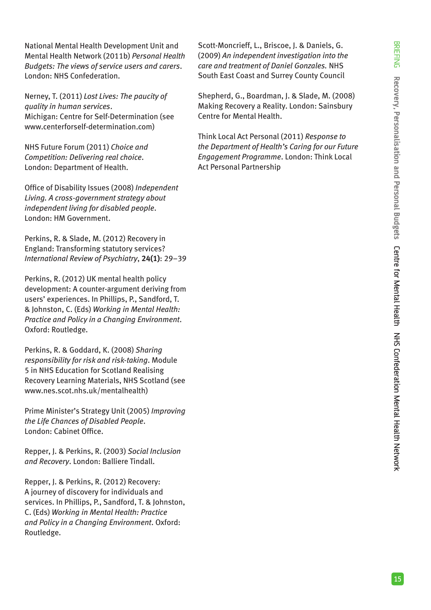National Mental Health Development Unit and Mental Health Network (2011b) *Personal Health Budgets: The views of service users and carers*. London: NHS Confederation.

Nerney, T. (2011) *Lost Lives: The paucity of quality in human services*. Michigan: Centre for Self-Determination (see www.centerforself-determination.com)

NHS Future Forum (2011) *Choice and Competition: Delivering real choice*. London: Department of Health.

Office of Disability Issues (2008) *Independent Living. A cross-government strategy about independent living for disabled people*. London: HM Government.

Perkins, R. & Slade, M. (2012) Recovery in England: Transforming statutory services? *International Review of Psychiatry*, **24(1)**: 29–39

Perkins, R. (2012) UK mental health policy development: A counter-argument deriving from users' experiences. In Phillips, P., Sandford, T. & Johnston, C. (Eds) *Working in Mental Health: Practice and Policy in a Changing Environment*. Oxford: Routledge.

Perkins, R. & Goddard, K. (2008) *Sharing responsibility for risk and risk-taking*. Module 5 in NHS Education for Scotland Realising Recovery Learning Materials, NHS Scotland (see www.nes.scot.nhs.uk/mentalhealth)

Prime Minister's Strategy Unit (2005) *Improving the Life Chances of Disabled People*. London: Cabinet Office.

Repper, J. & Perkins, R. (2003) *Social Inclusion and Recovery*. London: Balliere Tindall.

Repper, J. & Perkins, R. (2012) Recovery: A journey of discovery for individuals and services. In Phillips, P., Sandford, T. & Johnston, C. (Eds) *Working in Mental Health: Practice and Policy in a Changing Environment*. Oxford: Routledge.

Scott-Moncrieff, L., Briscoe, J. & Daniels, G. (2009) *An independent investigation into the care and treatment of Daniel Gonzales.* NHS South East Coast and Surrey County Council

Shepherd, G., Boardman, J. & Slade, M. (2008) Making Recovery a Reality. London: Sainsbury Centre for Mental Health.

Think Local Act Personal (2011) *Response to the Department of Health's Caring for our Future Engagement Programme*. London: Think Local Act Personal Partnership